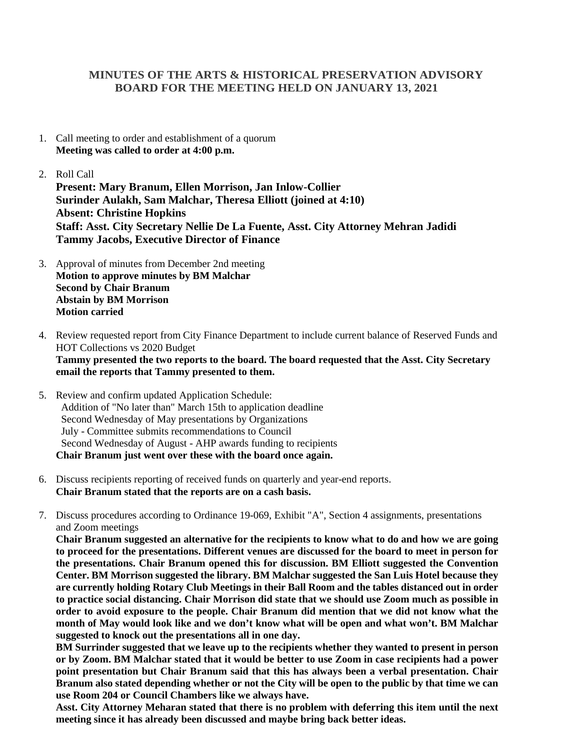## **MINUTES OF THE ARTS & HISTORICAL PRESERVATION ADVISORY BOARD FOR THE MEETING HELD ON JANUARY 13, 2021**

- 1. Call meeting to order and establishment of a quorum **Meeting was called to order at 4:00 p.m.**
- 2. Roll Call

**Present: Mary Branum, Ellen Morrison, Jan Inlow-Collier Surinder Aulakh, Sam Malchar, Theresa Elliott (joined at 4:10) Absent: Christine Hopkins Staff: Asst. City Secretary Nellie De La Fuente, Asst. City Attorney Mehran Jadidi Tammy Jacobs, Executive Director of Finance**

- 3. Approval of minutes from December 2nd meeting **Motion to approve minutes by BM Malchar Second by Chair Branum Abstain by BM Morrison Motion carried**
- 4. Review requested report from City Finance Department to include current balance of Reserved Funds and HOT Collections vs 2020 Budget **Tammy presented the two reports to the board. The board requested that the Asst. City Secretary email the reports that Tammy presented to them.**
- 5. Review and confirm updated Application Schedule: Addition of "No later than" March 15th to application deadline Second Wednesday of May presentations by Organizations July - Committee submits recommendations to Council Second Wednesday of August - AHP awards funding to recipients **Chair Branum just went over these with the board once again.**
- 6. Discuss recipients reporting of received funds on quarterly and year-end reports. **Chair Branum stated that the reports are on a cash basis.**
- 7. Discuss procedures according to Ordinance 19-069, Exhibit "A", Section 4 assignments, presentations and Zoom meetings

**Chair Branum suggested an alternative for the recipients to know what to do and how we are going to proceed for the presentations. Different venues are discussed for the board to meet in person for the presentations. Chair Branum opened this for discussion. BM Elliott suggested the Convention Center. BM Morrison suggested the library. BM Malchar suggested the San Luis Hotel because they are currently holding Rotary Club Meetings in their Ball Room and the tables distanced out in order to practice social distancing. Chair Morrison did state that we should use Zoom much as possible in order to avoid exposure to the people. Chair Branum did mention that we did not know what the month of May would look like and we don't know what will be open and what won't. BM Malchar suggested to knock out the presentations all in one day.** 

**BM Surrinder suggested that we leave up to the recipients whether they wanted to present in person or by Zoom. BM Malchar stated that it would be better to use Zoom in case recipients had a power point presentation but Chair Branum said that this has always been a verbal presentation. Chair Branum also stated depending whether or not the City will be open to the public by that time we can use Room 204 or Council Chambers like we always have.** 

**Asst. City Attorney Meharan stated that there is no problem with deferring this item until the next meeting since it has already been discussed and maybe bring back better ideas.**